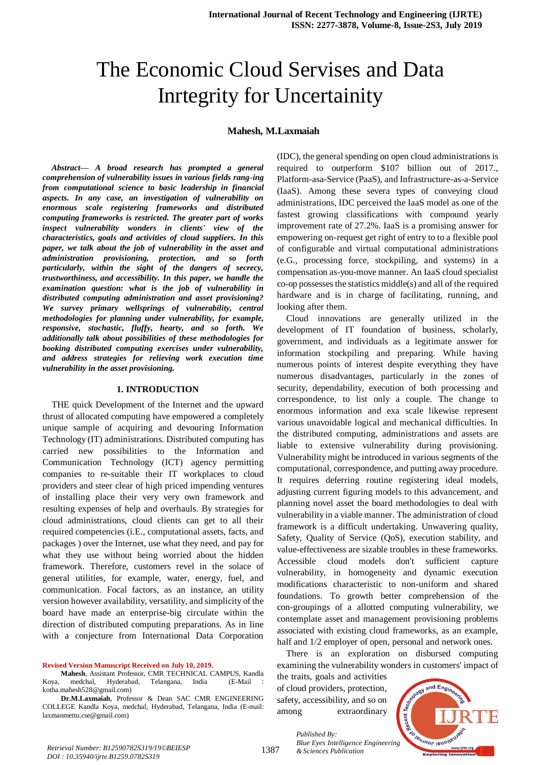# The Economic Cloud Servises and Data Inrtegrity for Uncertainity

**Mahesh, M.Laxmaiah**

*Abstract***—** *A broad research has prompted a general comprehension of vulnerability issues in various fields rang-ing from computational science to basic leadership in financial aspects. In any case, an investigation of vulnerability on enormous scale registering frameworks and distributed computing frameworks is restricted. The greater part of works inspect vulnerability wonders in clients' view of the characteristics, goals and activities of cloud suppliers. In this paper, we talk about the job of vulnerability in the asset and administration provisioning, protection, and so forth particularly, within the sight of the dangers of secrecy, trustworthiness, and accessibility. In this paper, we handle the examination question: what is the job of vulnerability in distributed computing administration and asset provisioning? We survey primary wellsprings of vulnerability, central methodologies for planning under vulnerability, for example, responsive, stochastic, fluffy, hearty, and so forth. We additionally talk about possibilities of these methodologies for booking distributed computing exercises under vulnerability, and address strategies for relieving work execution time vulnerability in the asset provisioning.*

#### **1. INTRODUCTION**

THE quick Development of the Internet and the upward thrust of allocated computing have empowered a completely unique sample of acquiring and devouring Information Technology (IT) administrations. Distributed computing has carried new possibilities to the Information and Communication Technology (ICT) agency permitting companies to re-suitable their IT workplaces to cloud providers and steer clear of high priced impending ventures of installing place their very very own framework and resulting expenses of help and overhauls. By strategies for cloud administrations, cloud clients can get to all their required competencies (i.E., computational assets, facts, and packages ) over the Internet, use what they need, and pay for what they use without being worried about the hidden framework. Therefore, customers revel in the solace of general utilities, for example, water, energy, fuel, and communication. Focal factors, as an instance, an utility version however availability, versatility, and simplicity of the board have made an enterprise-big circulate within the direction of distributed computing preparations. As in line with a conjecture from International Data Corporation

**Revised Version Manuscript Received on July 10, 2019.**

(IDC), the general spending on open cloud administrations is required to outperform \$107 billion out of 2017., Platform-asa-Service (PaaS), and Infrastructure-as-a-Service (IaaS). Among these severa types of conveying cloud administrations, IDC perceived the IaaS model as one of the fastest growing classifications with compound yearly improvement rate of 27.2%. IaaS is a promising answer for empowering on-request get right of entry to to a flexible pool of configurable and virtual computational administrations (e.G., processing force, stockpiling, and systems) in a compensation as-you-move manner. An IaaS cloud specialist co-op possesses the statistics middle(s) and all of the required hardware and is in charge of facilitating, running, and looking after them.

Cloud innovations are generally utilized in the development of IT foundation of business, scholarly, government, and individuals as a legitimate answer for information stockpiling and preparing. While having numerous points of interest despite everything they have numerous disadvantages, particularly in the zones of security, dependability, execution of both processing and correspondence, to list only a couple. The change to enormous information and exa scale likewise represent various unavoidable logical and mechanical difficulties. In the distributed computing, administrations and assets are liable to extensive vulnerability during provisioning. Vulnerability might be introduced in various segments of the computational, correspondence, and putting away procedure. It requires deferring routine registering ideal models, adjusting current figuring models to this advancement, and planning novel asset the board methodologies to deal with vulnerability in a viable manner. The administration of cloud framework is a difficult undertaking. Unwavering quality, Safety, Quality of Service (QoS), execution stability, and value-effectiveness are sizable troubles in these frameworks. Accessible cloud models don't sufficient capture vulnerability, in homogeneity and dynamic execution modifications characteristic to non-uniform and shared foundations. To growth better comprehension of the con-groupings of a allotted computing vulnerability, we contemplate asset and management provisioning problems associated with existing cloud frameworks, as an example, half and  $1/2$  employer of open, personal and network ones.

There is an exploration on disbursed computing examining the vulnerability wonders in customers' impact of

the traits, goals and activities of cloud providers, protection, safety, accessibility, and so on among extraordinary

*Published By:*



**Mahesh**, Assistant Professor, CMR TECHNICAL CAMPUS, Kandla Koya, medchal, Hyderabad, Telangana, India (E-Mail : kotha.mahesh528@gmail.com)

**Dr.M.Laxmaiah**, Professor & Dean SAC CMR ENGINEERING COLLEGE Kandla Koya, medchal, Hyderabad, Telangana, India (E-mail: laxmanmettu.cse@gmail.com)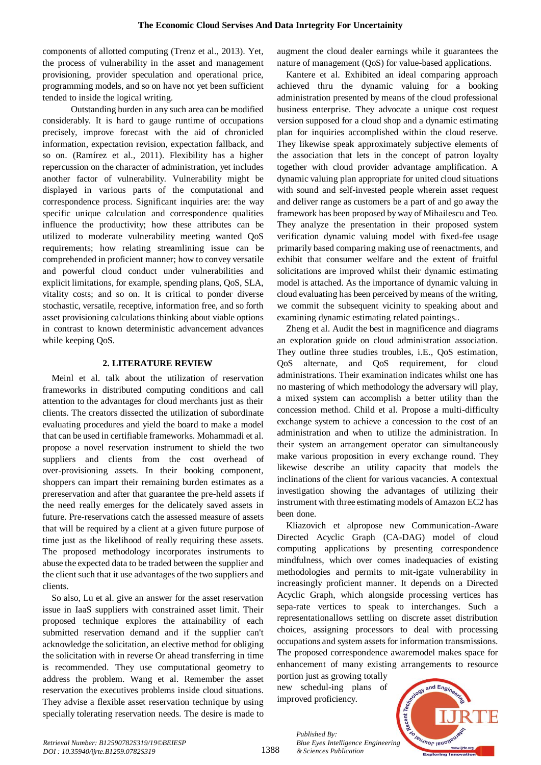components of allotted computing (Trenz et al., 2013). Yet, the process of vulnerability in the asset and management provisioning, provider speculation and operational price, programming models, and so on have not yet been sufficient tended to inside the logical writing.

 Outstanding burden in any such area can be modified considerably. It is hard to gauge runtime of occupations precisely, improve forecast with the aid of chronicled information, expectation revision, expectation fallback, and so on. (Ramírez et al., 2011). Flexibility has a higher repercussion on the character of administration, yet includes another factor of vulnerability. Vulnerability might be displayed in various parts of the computational and correspondence process. Significant inquiries are: the way specific unique calculation and correspondence qualities influence the productivity; how these attributes can be utilized to moderate vulnerability meeting wanted QoS requirements; how relating streamlining issue can be comprehended in proficient manner; how to convey versatile and powerful cloud conduct under vulnerabilities and explicit limitations, for example, spending plans, QoS, SLA, vitality costs; and so on. It is critical to ponder diverse stochastic, versatile, receptive, information free, and so forth asset provisioning calculations thinking about viable options in contrast to known deterministic advancement advances while keeping QoS.

## **2. LITERATURE REVIEW**

Meinl et al. talk about the utilization of reservation frameworks in distributed computing conditions and call attention to the advantages for cloud merchants just as their clients. The creators dissected the utilization of subordinate evaluating procedures and yield the board to make a model that can be used in certifiable frameworks. Mohammadi et al. propose a novel reservation instrument to shield the two suppliers and clients from the cost overhead of over-provisioning assets. In their booking component, shoppers can impart their remaining burden estimates as a prereservation and after that guarantee the pre-held assets if the need really emerges for the delicately saved assets in future. Pre-reservations catch the assessed measure of assets that will be required by a client at a given future purpose of time just as the likelihood of really requiring these assets. The proposed methodology incorporates instruments to abuse the expected data to be traded between the supplier and the client such that it use advantages of the two suppliers and clients.

So also, Lu et al. give an answer for the asset reservation issue in IaaS suppliers with constrained asset limit. Their proposed technique explores the attainability of each submitted reservation demand and if the supplier can't acknowledge the solicitation, an elective method for obliging the solicitation with in reverse Or ahead transferring in time is recommended. They use computational geometry to address the problem. Wang et al. Remember the asset reservation the executives problems inside cloud situations. They advise a flexible asset reservation technique by using specially tolerating reservation needs. The desire is made to

augment the cloud dealer earnings while it guarantees the nature of management (QoS) for value-based applications.

Kantere et al. Exhibited an ideal comparing approach achieved thru the dynamic valuing for a booking administration presented by means of the cloud professional business enterprise. They advocate a unique cost request version supposed for a cloud shop and a dynamic estimating plan for inquiries accomplished within the cloud reserve. They likewise speak approximately subjective elements of the association that lets in the concept of patron loyalty together with cloud provider advantage amplification. A dynamic valuing plan appropriate for united cloud situations with sound and self-invested people wherein asset request and deliver range as customers be a part of and go away the framework has been proposed by way of Mihailescu and Teo. They analyze the presentation in their proposed system verification dynamic valuing model with fixed-fee usage primarily based comparing making use of reenactments, and exhibit that consumer welfare and the extent of fruitful solicitations are improved whilst their dynamic estimating model is attached. As the importance of dynamic valuing in cloud evaluating has been perceived by means of the writing, we commit the subsequent vicinity to speaking about and examining dynamic estimating related paintings..

Zheng et al. Audit the best in magnificence and diagrams an exploration guide on cloud administration association. They outline three studies troubles, i.E., QoS estimation, QoS alternate, and QoS requirement, for cloud administrations. Their examination indicates whilst one has no mastering of which methodology the adversary will play, a mixed system can accomplish a better utility than the concession method. Child et al. Propose a multi-difficulty exchange system to achieve a concession to the cost of an administration and when to utilize the administration. In their system an arrangement operator can simultaneously make various proposition in every exchange round. They likewise describe an utility capacity that models the inclinations of the client for various vacancies. A contextual investigation showing the advantages of utilizing their instrument with three estimating models of Amazon EC2 has been done.

Kliazovich et alpropose new Communication-Aware Directed Acyclic Graph (CA-DAG) model of cloud computing applications by presenting correspondence mindfulness, which over comes inadequacies of existing methodologies and permits to mit-igate vulnerability in increasingly proficient manner. It depends on a Directed Acyclic Graph, which alongside processing vertices has sepa-rate vertices to speak to interchanges. Such a representationallows settling on discrete asset distribution choices, assigning processors to deal with processing occupations and system assets for information transmissions. The proposed correspondence awaremodel makes space for enhancement of many existing arrangements to resource

portion just as growing totally new schedul-ing plans of improved proficiency.

*Published By:*

*& Sciences Publication* 



*Retrieval Number: B12590782S319/19©BEIESP DOI : 10.35940/ijrte.B1259.0782S319*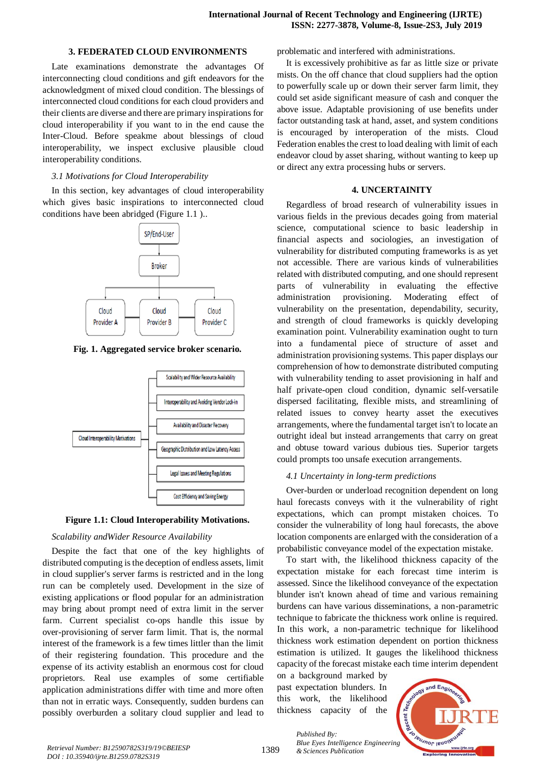### **3. FEDERATED CLOUD ENVIRONMENTS**

Late examinations demonstrate the advantages Of interconnecting cloud conditions and gift endeavors for the acknowledgment of mixed cloud condition. The blessings of interconnected cloud conditions for each cloud providers and their clients are diverse and there are primary inspirations for cloud interoperability if you want to in the end cause the Inter-Cloud. Before speakme about blessings of cloud interoperability, we inspect exclusive plausible cloud interoperability conditions.

## *3.1 Motivations for Cloud Interoperability*

In this section, key advantages of cloud interoperability which gives basic inspirations to interconnected cloud conditions have been abridged (Figure 1.1 )..



**Fig. 1. Aggregated service broker scenario.**



**Figure 1.1: Cloud Interoperability Motivations.**

# *Scalability andWider Resource Availability*

Despite the fact that one of the key highlights of distributed computing is the deception of endless assets, limit in cloud supplier's server farms is restricted and in the long run can be completely used. Development in the size of existing applications or flood popular for an administration may bring about prompt need of extra limit in the server farm. Current specialist co-ops handle this issue by over-provisioning of server farm limit. That is, the normal interest of the framework is a few times littler than the limit of their registering foundation. This procedure and the expense of its activity establish an enormous cost for cloud proprietors. Real use examples of some certifiable application administrations differ with time and more often than not in erratic ways. Consequently, sudden burdens can possibly overburden a solitary cloud supplier and lead to problematic and interfered with administrations.

It is excessively prohibitive as far as little size or private mists. On the off chance that cloud suppliers had the option to powerfully scale up or down their server farm limit, they could set aside significant measure of cash and conquer the above issue. Adaptable provisioning of use benefits under factor outstanding task at hand, asset, and system conditions is encouraged by interoperation of the mists. Cloud Federation enables the crest to load dealing with limit of each endeavor cloud by asset sharing, without wanting to keep up or direct any extra processing hubs or servers.

# **4. UNCERTAINITY**

Regardless of broad research of vulnerability issues in various fields in the previous decades going from material science, computational science to basic leadership in financial aspects and sociologies, an investigation of vulnerability for distributed computing frameworks is as yet not accessible. There are various kinds of vulnerabilities related with distributed computing, and one should represent parts of vulnerability in evaluating the effective administration provisioning. Moderating effect of vulnerability on the presentation, dependability, security, and strength of cloud frameworks is quickly developing examination point. Vulnerability examination ought to turn into a fundamental piece of structure of asset and administration provisioning systems. This paper displays our comprehension of how to demonstrate distributed computing with vulnerability tending to asset provisioning in half and half private-open cloud condition, dynamic self-versatile dispersed facilitating, flexible mists, and streamlining of related issues to convey hearty asset the executives arrangements, where the fundamental target isn't to locate an outright ideal but instead arrangements that carry on great and obtuse toward various dubious ties. Superior targets could prompts too unsafe execution arrangements.

# *4.1 Uncertainty in long-term predictions*

Over-burden or underload recognition dependent on long haul forecasts conveys with it the vulnerability of right expectations, which can prompt mistaken choices. To consider the vulnerability of long haul forecasts, the above location components are enlarged with the consideration of a probabilistic conveyance model of the expectation mistake.

To start with, the likelihood thickness capacity of the expectation mistake for each forecast time interim is assessed. Since the likelihood conveyance of the expectation blunder isn't known ahead of time and various remaining burdens can have various disseminations, a non-parametric technique to fabricate the thickness work online is required. In this work, a non-parametric technique for likelihood thickness work estimation dependent on portion thickness estimation is utilized. It gauges the likelihood thickness capacity of the forecast mistake each time interim dependent

on a background marked by past expectation blunders. In this work, the likelihood thickness capacity of the

*Published By:*

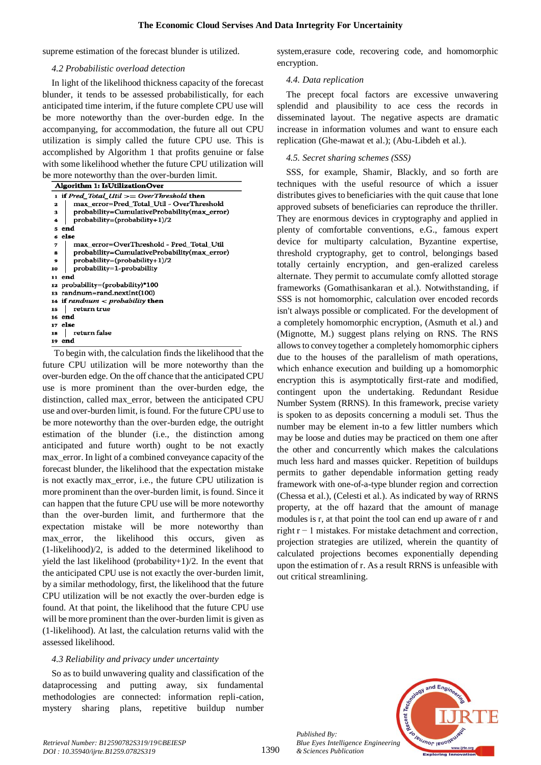supreme estimation of the forecast blunder is utilized.

#### *4.2 Probabilistic overload detection*

In light of the likelihood thickness capacity of the forecast blunder, it tends to be assessed probabilistically, for each anticipated time interim, if the future complete CPU use will be more noteworthy than the over-burden edge. In the accompanying, for accommodation, the future all out CPU utilization is simply called the future CPU use. This is accomplished by Algorithm 1 that profits genuine or false with some likelihood whether the future CPU utilization will be more noteworthy than the over-burden limit.

| c more noteworthy than the over barden mint.       |
|----------------------------------------------------|
| Algorithm 1: IsUtilizationOver                     |
| 1 if Pred_Total_Util >= OverThreshold then         |
| max error=Pred Total Util - OverThreshold<br>2     |
| probability=CumulativeProbability(max_error)<br>z. |
| probability=(probability+1)/2<br>4                 |
| end                                                |
| 6 else                                             |
| max_error=OverThreshold - Pred_Total_Util<br>7     |
| probability=CumulativeProbability(max_error)<br>8  |
| probability=(probability+1)/2<br>9                 |
| probability=1-probability<br>10                    |
| end<br>11                                          |
| 12 probability=(probability)*100                   |
| 13 randnum=rand.nextInt(100)                       |
| 14 if randnum $\langle$ probability then           |
| return true<br>15                                  |
| 16 end                                             |
| 17 else                                            |
| return false<br>18                                 |
| end<br>19                                          |

To begin with, the calculation finds the likelihood that the future CPU utilization will be more noteworthy than the over-burden edge. On the off chance that the anticipated CPU use is more prominent than the over-burden edge, the distinction, called max\_error, between the anticipated CPU use and over-burden limit, is found. For the future CPU use to be more noteworthy than the over-burden edge, the outright estimation of the blunder (i.e., the distinction among anticipated and future worth) ought to be not exactly max\_error. In light of a combined conveyance capacity of the forecast blunder, the likelihood that the expectation mistake is not exactly max\_error, i.e., the future CPU utilization is more prominent than the over-burden limit, is found. Since it can happen that the future CPU use will be more noteworthy than the over-burden limit, and furthermore that the expectation mistake will be more noteworthy than max error, the likelihood this occurs, given as (1-likelihood)/2, is added to the determined likelihood to yield the last likelihood (probability+1)/2. In the event that the anticipated CPU use is not exactly the over-burden limit, by a similar methodology, first, the likelihood that the future CPU utilization will be not exactly the over-burden edge is found. At that point, the likelihood that the future CPU use will be more prominent than the over-burden limit is given as (1-likelihood). At last, the calculation returns valid with the assessed likelihood.

#### *4.3 Reliability and privacy under uncertainty*

So as to build unwavering quality and classification of the dataprocessing and putting away, six fundamental methodologies are connected: information repli-cation, mystery sharing plans, repetitive buildup number

system,erasure code, recovering code, and homomorphic encryption.

#### *4.4. Data replication*

The precept focal factors are excessive unwavering splendid and plausibility to ace cess the records in disseminated layout. The negative aspects are dramatic increase in information volumes and want to ensure each replication (Ghe-mawat et al.); (Abu-Libdeh et al.).

#### *4.5. Secret sharing schemes (SSS)*

SSS, for example, Shamir, Blackly, and so forth are techniques with the useful resource of which a issuer distributes gives to beneficiaries with the quit cause that lone approved subsets of beneficiaries can reproduce the thriller. They are enormous devices in cryptography and applied in plenty of comfortable conventions, e.G., famous expert device for multiparty calculation, Byzantine expertise, threshold cryptography, get to control, belongings based totally certainly encryption, and gen-eralized careless alternate. They permit to accumulate comfy allotted storage frameworks (Gomathisankaran et al.). Notwithstanding, if SSS is not homomorphic, calculation over encoded records isn't always possible or complicated. For the development of a completely homomorphic encryption, (Asmuth et al.) and (Mignotte, M.) suggest plans relying on RNS. The RNS allows to convey together a completely homomorphic ciphers due to the houses of the parallelism of math operations, which enhance execution and building up a homomorphic encryption this is asymptotically first-rate and modified, contingent upon the undertaking. Redundant Residue Number System (RRNS). In this framework, precise variety is spoken to as deposits concerning a moduli set. Thus the number may be element in-to a few littler numbers which may be loose and duties may be practiced on them one after the other and concurrently which makes the calculations much less hard and masses quicker. Repetition of buildups permits to gather dependable information getting ready framework with one-of-a-type blunder region and correction (Chessa et al.), (Celesti et al.). As indicated by way of RRNS property, at the off hazard that the amount of manage modules is r, at that point the tool can end up aware of r and right r − 1 mistakes. For mistake detachment and correction, projection strategies are utilized, wherein the quantity of calculated projections becomes exponentially depending upon the estimation of r. As a result RRNS is unfeasible with out critical streamlining.



*Published By:*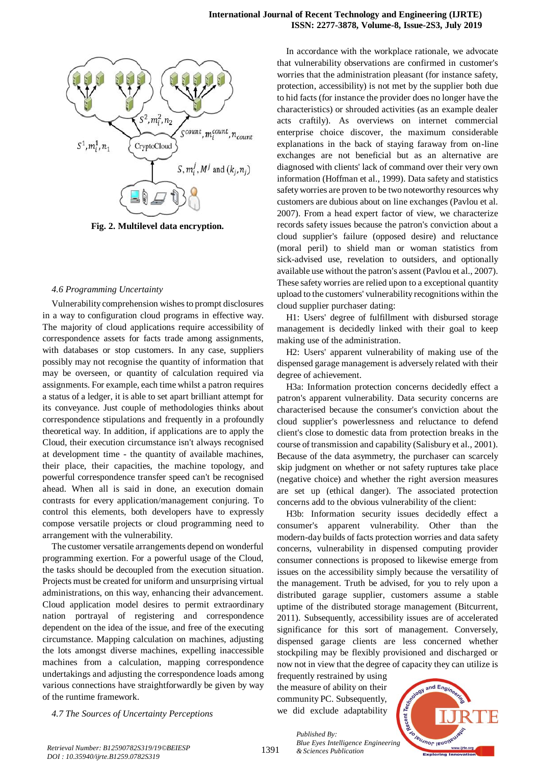

**Fig. 2. Multilevel data encryption.**

#### *4.6 Programming Uncertainty*

Vulnerability comprehension wishes to prompt disclosures in a way to configuration cloud programs in effective way. The majority of cloud applications require accessibility of correspondence assets for facts trade among assignments, with databases or stop customers. In any case, suppliers possibly may not recognise the quantity of information that may be overseen, or quantity of calculation required via assignments. For example, each time whilst a patron requires a status of a ledger, it is able to set apart brilliant attempt for its conveyance. Just couple of methodologies thinks about correspondence stipulations and frequently in a profoundly theoretical way. In addition, if applications are to apply the Cloud, their execution circumstance isn't always recognised at development time - the quantity of available machines, their place, their capacities, the machine topology, and powerful correspondence transfer speed can't be recognised ahead. When all is said in done, an execution domain contrasts for every application/management conjuring. To control this elements, both developers have to expressly compose versatile projects or cloud programming need to arrangement with the vulnerability.

The customer versatile arrangements depend on wonderful programming exertion. For a powerful usage of the Cloud, the tasks should be decoupled from the execution situation. Projects must be created for uniform and unsurprising virtual administrations, on this way, enhancing their advancement. Cloud application model desires to permit extraordinary nation portrayal of registering and correspondence dependent on the idea of the issue, and free of the executing circumstance. Mapping calculation on machines, adjusting the lots amongst diverse machines, expelling inaccessible machines from a calculation, mapping correspondence undertakings and adjusting the correspondence loads among various connections have straightforwardly be given by way of the runtime framework.

*4.7 The Sources of Uncertainty Perceptions*

In accordance with the workplace rationale, we advocate that vulnerability observations are confirmed in customer's worries that the administration pleasant (for instance safety, protection, accessibility) is not met by the supplier both due to hid facts (for instance the provider does no longer have the characteristics) or shrouded activities (as an example dealer acts craftily). As overviews on internet commercial enterprise choice discover, the maximum considerable explanations in the back of staying faraway from on-line exchanges are not beneficial but as an alternative are diagnosed with clients' lack of command over their very own information (Hoffman et al., 1999). Data safety and statistics safety worries are proven to be two noteworthy resources why customers are dubious about on line exchanges (Pavlou et al. 2007). From a head expert factor of view, we characterize records safety issues because the patron's conviction about a cloud supplier's failure (opposed desire) and reluctance (moral peril) to shield man or woman statistics from sick-advised use, revelation to outsiders, and optionally available use without the patron's assent (Pavlou et al., 2007). These safety worries are relied upon to a exceptional quantity upload to the customers' vulnerability recognitions within the cloud supplier purchaser dating:

H1: Users' degree of fulfillment with disbursed storage management is decidedly linked with their goal to keep making use of the administration.

H2: Users' apparent vulnerability of making use of the dispensed garage management is adversely related with their degree of achievement.

H3a: Information protection concerns decidedly effect a patron's apparent vulnerability. Data security concerns are characterised because the consumer's conviction about the cloud supplier's powerlessness and reluctance to defend client's close to domestic data from protection breaks in the course of transmission and capability (Salisbury et al., 2001). Because of the data asymmetry, the purchaser can scarcely skip judgment on whether or not safety ruptures take place (negative choice) and whether the right aversion measures are set up (ethical danger). The associated protection concerns add to the obvious vulnerability of the client:

H3b: Information security issues decidedly effect a consumer's apparent vulnerability. Other than the modern-day builds of facts protection worries and data safety concerns, vulnerability in dispensed computing provider consumer connections is proposed to likewise emerge from issues on the accessibility simply because the versatility of the management. Truth be advised, for you to rely upon a distributed garage supplier, customers assume a stable uptime of the distributed storage management (Bitcurrent, 2011). Subsequently, accessibility issues are of accelerated significance for this sort of management. Conversely, dispensed garage clients are less concerned whether stockpiling may be flexibly provisioned and discharged or now not in view that the degree of capacity they can utilize is

frequently restrained by using the measure of ability on their community PC. Subsequently, we did exclude adaptability



1391

*Published By: Blue Eyes Intelligence Engineering*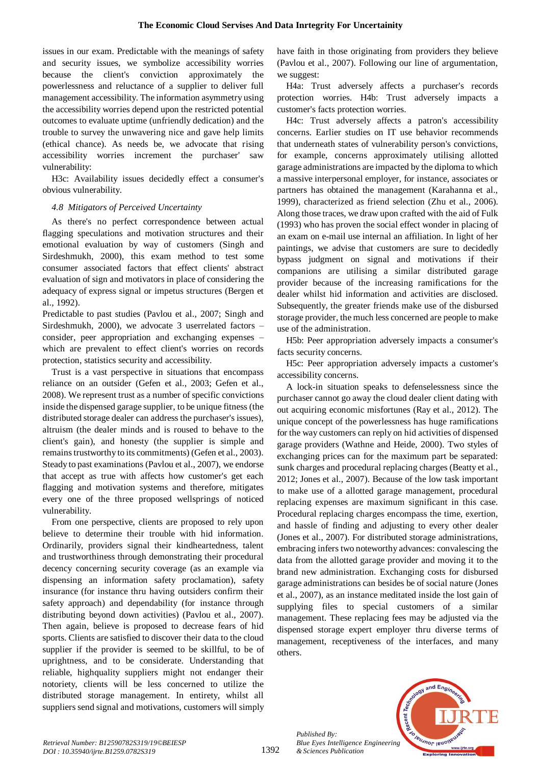issues in our exam. Predictable with the meanings of safety and security issues, we symbolize accessibility worries because the client's conviction approximately the powerlessness and reluctance of a supplier to deliver full management accessibility. The information asymmetry using the accessibility worries depend upon the restricted potential outcomes to evaluate uptime (unfriendly dedication) and the trouble to survey the unwavering nice and gave help limits (ethical chance). As needs be, we advocate that rising accessibility worries increment the purchaser' saw vulnerability:

H3c: Availability issues decidedly effect a consumer's obvious vulnerability.

# *4.8 Mitigators of Perceived Uncertainty*

As there's no perfect correspondence between actual flagging speculations and motivation structures and their emotional evaluation by way of customers (Singh and Sirdeshmukh, 2000), this exam method to test some consumer associated factors that effect clients' abstract evaluation of sign and motivators in place of considering the adequacy of express signal or impetus structures (Bergen et al., 1992).

Predictable to past studies (Pavlou et al., 2007; Singh and Sirdeshmukh, 2000), we advocate 3 userrelated factors – consider, peer appropriation and exchanging expenses – which are prevalent to effect client's worries on records protection, statistics security and accessibility.

Trust is a vast perspective in situations that encompass reliance on an outsider (Gefen et al., 2003; Gefen et al., 2008). We represent trust as a number of specific convictions inside the dispensed garage supplier, to be unique fitness (the distributed storage dealer can address the purchaser's issues), altruism (the dealer minds and is roused to behave to the client's gain), and honesty (the supplier is simple and remains trustworthy to its commitments) (Gefen et al., 2003). Steady to past examinations (Pavlou et al., 2007), we endorse that accept as true with affects how customer's get each flagging and motivation systems and therefore, mitigates every one of the three proposed wellsprings of noticed vulnerability.

From one perspective, clients are proposed to rely upon believe to determine their trouble with hid information. Ordinarily, providers signal their kindheartedness, talent and trustworthiness through demonstrating their procedural decency concerning security coverage (as an example via dispensing an information safety proclamation), safety insurance (for instance thru having outsiders confirm their safety approach) and dependability (for instance through distributing beyond down activities) (Pavlou et al., 2007). Then again, believe is proposed to decrease fears of hid sports. Clients are satisfied to discover their data to the cloud supplier if the provider is seemed to be skillful, to be of uprightness, and to be considerate. Understanding that reliable, highquality suppliers might not endanger their notoriety, clients will be less concerned to utilize the distributed storage management. In entirety, whilst all suppliers send signal and motivations, customers will simply have faith in those originating from providers they believe (Pavlou et al., 2007). Following our line of argumentation, we suggest:

H4a: Trust adversely affects a purchaser's records protection worries. H4b: Trust adversely impacts a customer's facts protection worries.

H4c: Trust adversely affects a patron's accessibility concerns. Earlier studies on IT use behavior recommends that underneath states of vulnerability person's convictions, for example, concerns approximately utilising allotted garage administrations are impacted by the diploma to which a massive interpersonal employer, for instance, associates or partners has obtained the management (Karahanna et al., 1999), characterized as friend selection (Zhu et al., 2006). Along those traces, we draw upon crafted with the aid of Fulk (1993) who has proven the social effect wonder in placing of an exam on e-mail use internal an affiliation. In light of her paintings, we advise that customers are sure to decidedly bypass judgment on signal and motivations if their companions are utilising a similar distributed garage provider because of the increasing ramifications for the dealer whilst hid information and activities are disclosed. Subsequently, the greater friends make use of the disbursed storage provider, the much less concerned are people to make use of the administration.

H5b: Peer appropriation adversely impacts a consumer's facts security concerns.

H5c: Peer appropriation adversely impacts a customer's accessibility concerns.

A lock-in situation speaks to defenselessness since the purchaser cannot go away the cloud dealer client dating with out acquiring economic misfortunes (Ray et al., 2012). The unique concept of the powerlessness has huge ramifications for the way customers can reply on hid activities of dispensed garage providers (Wathne and Heide, 2000). Two styles of exchanging prices can for the maximum part be separated: sunk charges and procedural replacing charges (Beatty et al., 2012; Jones et al., 2007). Because of the low task important to make use of a allotted garage management, procedural replacing expenses are maximum significant in this case. Procedural replacing charges encompass the time, exertion, and hassle of finding and adjusting to every other dealer (Jones et al., 2007). For distributed storage administrations, embracing infers two noteworthy advances: convalescing the data from the allotted garage provider and moving it to the brand new administration. Exchanging costs for disbursed garage administrations can besides be of social nature (Jones et al., 2007), as an instance meditated inside the lost gain of supplying files to special customers of a similar management. These replacing fees may be adjusted via the dispensed storage expert employer thru diverse terms of management, receptiveness of the interfaces, and many others.



*Published By:*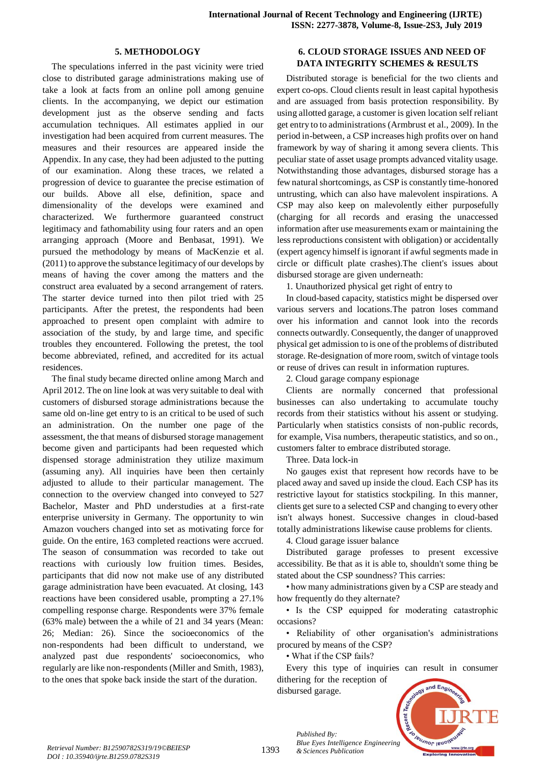## **5. METHODOLOGY**

The speculations inferred in the past vicinity were tried close to distributed garage administrations making use of take a look at facts from an online poll among genuine clients. In the accompanying, we depict our estimation development just as the observe sending and facts accumulation techniques. All estimates applied in our investigation had been acquired from current measures. The measures and their resources are appeared inside the Appendix. In any case, they had been adjusted to the putting of our examination. Along these traces, we related a progression of device to guarantee the precise estimation of our builds. Above all else, definition, space and dimensionality of the develops were examined and characterized. We furthermore guaranteed construct legitimacy and fathomability using four raters and an open arranging approach (Moore and Benbasat, 1991). We pursued the methodology by means of MacKenzie et al. (2011) to approve the substance legitimacy of our develops by means of having the cover among the matters and the construct area evaluated by a second arrangement of raters. The starter device turned into then pilot tried with 25 participants. After the pretest, the respondents had been approached to present open complaint with admire to association of the study, by and large time, and specific troubles they encountered. Following the pretest, the tool become abbreviated, refined, and accredited for its actual residences.

The final study became directed online among March and April 2012. The on line look at was very suitable to deal with customers of disbursed storage administrations because the same old on-line get entry to is an critical to be used of such an administration. On the number one page of the assessment, the that means of disbursed storage management become given and participants had been requested which dispensed storage administration they utilize maximum (assuming any). All inquiries have been then certainly adjusted to allude to their particular management. The connection to the overview changed into conveyed to 527 Bachelor, Master and PhD understudies at a first-rate enterprise university in Germany. The opportunity to win Amazon vouchers changed into set as motivating force for guide. On the entire, 163 completed reactions were accrued. The season of consummation was recorded to take out reactions with curiously low fruition times. Besides, participants that did now not make use of any distributed garage administration have been evacuated. At closing, 143 reactions have been considered usable, prompting a 27.1% compelling response charge. Respondents were 37% female (63% male) between the a while of 21 and 34 years (Mean: 26; Median: 26). Since the socioeconomics of the non-respondents had been difficult to understand, we analyzed past due respondents' socioeconomics, who regularly are like non-respondents (Miller and Smith, 1983), to the ones that spoke back inside the start of the duration.

# **6. CLOUD STORAGE ISSUES AND NEED OF DATA INTEGRITY SCHEMES & RESULTS**

Distributed storage is beneficial for the two clients and expert co-ops. Cloud clients result in least capital hypothesis and are assuaged from basis protection responsibility. By using allotted garage, a customer is given location self reliant get entry to to administrations (Armbrust et al., 2009). In the period in-between, a CSP increases high profits over on hand framework by way of sharing it among severa clients. This peculiar state of asset usage prompts advanced vitality usage. Notwithstanding those advantages, disbursed storage has a few natural shortcomings, as CSP is constantly time-honored untrusting, which can also have malevolent inspirations. A CSP may also keep on malevolently either purposefully (charging for all records and erasing the unaccessed information after use measurements exam or maintaining the less reproductions consistent with obligation) or accidentally (expert agency himself is ignorant if awful segments made in circle or difficult plate crashes).The client's issues about disbursed storage are given underneath:

1. Unauthorized physical get right of entry to

In cloud-based capacity, statistics might be dispersed over various servers and locations.The patron loses command over his information and cannot look into the records connects outwardly. Consequently, the danger of unapproved physical get admission to is one of the problems of distributed storage. Re-designation of more room, switch of vintage tools or reuse of drives can result in information ruptures.

2. Cloud garage company espionage

Clients are normally concerned that professional businesses can also undertaking to accumulate touchy records from their statistics without his assent or studying. Particularly when statistics consists of non-public records, for example, Visa numbers, therapeutic statistics, and so on., customers falter to embrace distributed storage.

Three. Data lock-in

No gauges exist that represent how records have to be placed away and saved up inside the cloud. Each CSP has its restrictive layout for statistics stockpiling. In this manner, clients get sure to a selected CSP and changing to every other isn't always honest. Successive changes in cloud-based totally administrations likewise cause problems for clients.

4. Cloud garage issuer balance

Distributed garage professes to present excessive accessibility. Be that as it is able to, shouldn't some thing be stated about the CSP soundness? This carries:

• how many administrations given by a CSP are steady and how frequently do they alternate?

• Is the CSP equipped for moderating catastrophic occasions?

• Reliability of other organisation's administrations procured by means of the CSP?

• What if the CSP fails?

*Published By:*

Every this type of inquiries can result in consumer dithering for the reception of and Engi disbursed garage.



*Bute Eyes Intelligence*<br>*Retrieval Number: B12590782S319/19©BEIESP*<br>*Retrieval Number: B12590782S319/19©BEIESP DOI : 10.35940/ijrte.B1259.0782S319*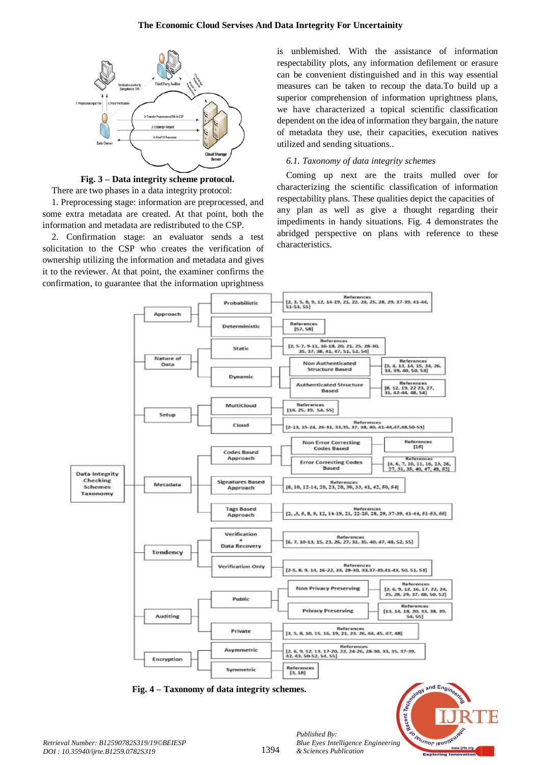

**Fig. 3 – Data integrity scheme protocol.**

There are two phases in a data integrity protocol:

1. Preprocessing stage: information are preprocessed, and some extra metadata are created. At that point, both the information and metadata are redistributed to the CSP.

2. Confirmation stage: an evaluator sends a test solicitation to the CSP who creates the verification of ownership utilizing the information and metadata and gives it to the reviewer. At that point, the examiner confirms the confirmation, to guarantee that the information uprightness

is unblemished. With the assistance of information respectability plots, any information defilement or erasure can be convenient distinguished and in this way essential measures can be taken to recoup the data.To build up a superior comprehension of information uprightness plans, we have characterized a topical scientific classification dependent on the idea of information they bargain, the nature of metadata they use, their capacities, execution natives utilized and sending situations..

# *6.1. Taxonomy of data integrity schemes*

Coming up next are the traits mulled over for characterizing the scientific classification of information respectability plans. These qualities depict the capacities of any plan as well as give a thought regarding their impediments in handy situations. Fig. 4 demonstrates the abridged perspective on plans with reference to these characteristics.



**Fig. 4 – Taxonomy of data integrity schemes.**



*Published By:*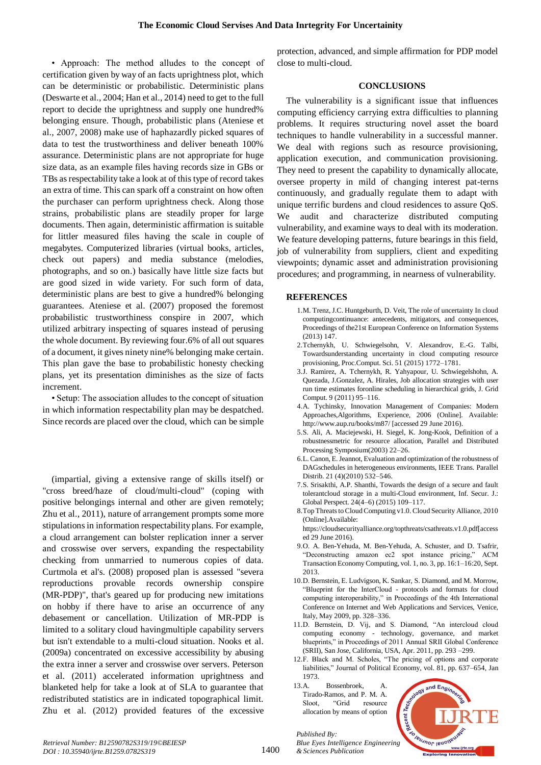• Approach: The method alludes to the concept of certification given by way of an facts uprightness plot, which can be deterministic or probabilistic. Deterministic plans (Deswarte et al., 2004; Han et al., 2014) need to get to the full report to decide the uprightness and supply one hundred% belonging ensure. Though, probabilistic plans (Ateniese et al., 2007, 2008) make use of haphazardly picked squares of data to test the trustworthiness and deliver beneath 100% assurance. Deterministic plans are not appropriate for huge size data, as an example files having records size in GBs or TBs as respectability take a look at of this type of record takes an extra of time. This can spark off a constraint on how often the purchaser can perform uprightness check. Along those strains, probabilistic plans are steadily proper for large documents. Then again, deterministic affirmation is suitable for littler measured files having the scale in couple of megabytes. Computerized libraries (virtual books, articles, check out papers) and media substance (melodies, photographs, and so on.) basically have little size facts but are good sized in wide variety. For such form of data, deterministic plans are best to give a hundred% belonging guarantees. Ateniese et al. (2007) proposed the foremost probabilistic trustworthiness conspire in 2007, which utilized arbitrary inspecting of squares instead of perusing the whole document. By reviewing four.6% of all out squares of a document, it gives ninety nine% belonging make certain. This plan gave the base to probabilistic honesty checking plans, yet its presentation diminishes as the size of facts increment.

• Setup: The association alludes to the concept of situation in which information respectability plan may be despatched. Since records are placed over the cloud, which can be simple

(impartial, giving a extensive range of skills itself) or "cross breed/haze of cloud/multi-cloud" (coping with positive belongings internal and other are given remotely; Zhu et al., 2011), nature of arrangement prompts some more stipulations in information respectability plans. For example, a cloud arrangement can bolster replication inner a server and crosswise over servers, expanding the respectability checking from unmarried to numerous copies of data. Curtmola et al's. (2008) proposed plan is assessed "severa reproductions provable records ownership conspire (MR-PDP)", that's geared up for producing new imitations on hobby if there have to arise an occurrence of any debasement or cancellation. Utilization of MR-PDP is limited to a solitary cloud havingmultiple capability servers but isn't extendable to a multi-cloud situation. Nooks et al. (2009a) concentrated on excessive accessibility by abusing the extra inner a server and crosswise over servers. Peterson et al. (2011) accelerated information uprightness and blanketed help for take a look at of SLA to guarantee that redistributed statistics are in indicated topographical limit. Zhu et al. (2012) provided features of the excessive protection, advanced, and simple affirmation for PDP model close to multi-cloud.

### **CONCLUSIONS**

The vulnerability is a significant issue that influences computing efficiency carrying extra difficulties to planning problems. It requires structuring novel asset the board techniques to handle vulnerability in a successful manner. We deal with regions such as resource provisioning, application execution, and communication provisioning. They need to present the capability to dynamically allocate, oversee property in mild of changing interest pat-terns continuously, and gradually regulate them to adapt with unique terrific burdens and cloud residences to assure QoS. We audit and characterize distributed computing vulnerability, and examine ways to deal with its moderation. We feature developing patterns, future bearings in this field, job of vulnerability from suppliers, client and expediting viewpoints; dynamic asset and administration provisioning procedures; and programming, in nearness of vulnerability.

#### **REFERENCES**

- 1.M. Trenz, J.C. Huntgeburth, D. Veit, The role of uncertainty In cloud computingcontinuance: antecedents, mitigators, and consequences, Proceedings of the21st European Conference on Information Systems (2013) 147.
- 2.Tchernykh, U. Schwiegelsohn, V. Alexandrov, E.-G. Talbi, Towardsunderstanding uncertainty in cloud computing resource provisioning, Proc.Comput. Sci. 51 (2015) 1772–1781.
- 3.J. Ramirez, A. Tchernykh, R. Yahyapour, U. Schwiegelshohn, A. Quezada, J.Gonzalez, A. Hirales, Job allocation strategies with user run time estimates foronline scheduling in hierarchical grids, J. Grid Comput. 9 (2011) 95–116.
- 4.A. Tychinsky, Innovation Management of Companies: Modern Approaches,Algorithms, Experience, 2006 (Online]. Available: http://www.aup.ru/books/m87/ [accessed 29 June 2016).
- 5.S. Ali, A. Maciejewski, H. Siegel, K. Jong-Kook, Definition of a robustnessmetric for resource allocation, Parallel and Distributed Processing Symposium(2003) 22–26.
- 6.L. Canon, E. Jeannot, Evaluation and optimization of the robustness of DAGschedules in heterogeneous environments, IEEE Trans. Parallel Distrib. 21 (4)(2010) 532–546.
- 7.S. Srisakthi, A.P. Shanthi, Towards the design of a secure and fault tolerantcloud storage in a multi-Cloud environment, Inf. Secur. J.: Global Perspect. 24(4–6) (2015) 109–117.
- 8.Top Threats to Cloud Computing v1.0. Cloud Security Alliance, 2010 (Online].Available:

https://cloudsecurityalliance.org/topthreats/csathreats.v1.0.pdf[access ed 29 June 2016).

- 9.O. A. Ben-Yehuda, M. Ben-Yehuda, A. Schuster, and D. Tsafrir, "Deconstructing amazon ec2 spot instance pricing," ACM Transaction Economy Computing, vol. 1, no. 3, pp. 16:1–16:20, Sept. 2013.
- 10.D. Bernstein, E. Ludvigson, K. Sankar, S. Diamond, and M. Morrow, "Blueprint for the InterCloud - protocols and formats for cloud computing interoperability," in Proceedings of the 4th International Conference on Internet and Web Applications and Services, Venice, Italy, May 2009, pp. 328–336.
- 11.D. Bernstein, D. Vij, and S. Diamond, "An intercloud cloud computing economy - technology, governance, and market blueprints," in Proceedings of 2011 Annual SRII Global Conference (SRII), San Jose, California, USA, Apr. 2011, pp. 293 –299.
- 12.F. Black and M. Scholes, "The pricing of options and corporate liabilities," Journal of Political Economy, vol. 81, pp. 637–654, Jan 1973.
- 13.A. Bossenbroek, A. Tirado-Ramos, and P. M. A. Sloot, "Grid resource allocation by means of option

*Published By:*